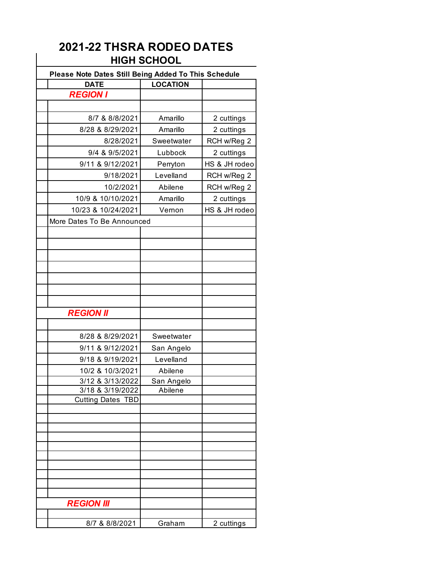## **2021-22 THSRA RODEO DATES HIGH SCHOOL**

| Please Note Dates Still Being Added To This Schedule |                 |               |
|------------------------------------------------------|-----------------|---------------|
| <b>DATE</b>                                          | <b>LOCATION</b> |               |
| <b>REGION I</b>                                      |                 |               |
|                                                      |                 |               |
| 8/7 & 8/8/2021                                       | Amarillo        | 2 cuttings    |
| 8/28 & 8/29/2021                                     | Amarillo        | 2 cuttings    |
| 8/28/2021                                            | Sweetwater      | RCH w/Reg 2   |
| 9/4 & 9/5/2021                                       | Lubbock         | 2 cuttings    |
| 9/11 & 9/12/2021                                     | Perryton        | HS & JH rodeo |
| 9/18/2021                                            | Levelland       | RCH w/Reg 2   |
| 10/2/2021                                            | Abilene         | RCH w/Reg 2   |
| 10/9 & 10/10/2021                                    | Amarillo        | 2 cuttings    |
| 10/23 & 10/24/2021                                   | Vernon          | HS & JH rodeo |
| More Dates To Be Announced                           |                 |               |
|                                                      |                 |               |
|                                                      |                 |               |
|                                                      |                 |               |
|                                                      |                 |               |
|                                                      |                 |               |
|                                                      |                 |               |
|                                                      |                 |               |
| <b>REGION II</b>                                     |                 |               |
|                                                      |                 |               |
| 8/28 & 8/29/2021                                     | Sweetwater      |               |
| 9/11 & 9/12/2021                                     | San Angelo      |               |
| 9/18 & 9/19/2021                                     | Levelland       |               |
| 10/2 & 10/3/2021                                     | Abilene         |               |
| 3/12 & 3/13/2022                                     | San Angelo      |               |
| 3/18 & 3/19/2022                                     | Abilene         |               |
| <b>Cutting Dates</b><br><b>TBD</b>                   |                 |               |
|                                                      |                 |               |
|                                                      |                 |               |
|                                                      |                 |               |
|                                                      |                 |               |
|                                                      |                 |               |
|                                                      |                 |               |
|                                                      |                 |               |
|                                                      |                 |               |
| <b>REGION III</b>                                    |                 |               |
|                                                      |                 |               |
| 8/7 & 8/8/2021                                       | Graham          | 2 cuttings    |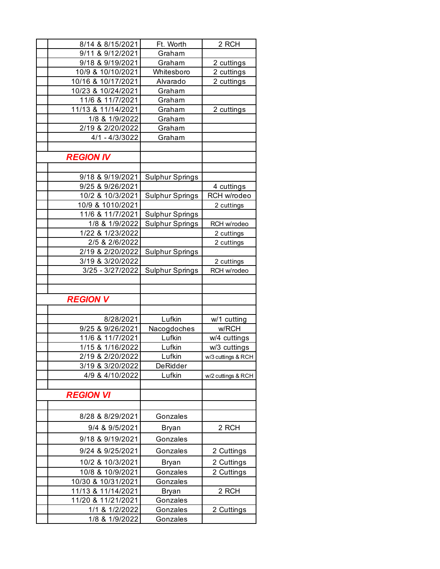| 8/14 & 8/15/2021                         | Ft. Worth              | 2 RCH              |
|------------------------------------------|------------------------|--------------------|
| 9/11 & 9/12/2021                         | Graham                 |                    |
| 9/18 & 9/19/2021                         | Graham                 | 2 cuttings         |
| 10/9 & 10/10/2021                        | Whitesboro             | 2 cuttings         |
| 10/16 & 10/17/2021                       | Alvarado               | 2 cuttings         |
| 10/23 & 10/24/2021                       | Graham                 |                    |
| 11/6 & 11/7/2021                         | Graham                 |                    |
| 11/13 & 11/14/2021                       | Graham                 | 2 cuttings         |
| 1/8 & 1/9/2022                           | Graham                 |                    |
| 2/19 & 2/20/2022                         | Graham                 |                    |
| 4/1 - 4/3/3022                           | Graham                 |                    |
|                                          |                        |                    |
| <b>REGION IV</b>                         |                        |                    |
|                                          |                        |                    |
| 9/18 & 9/19/2021                         | <b>Sulphur Springs</b> |                    |
| 9/25 & 9/26/2021                         |                        | 4 cuttings         |
| 10/2 & 10/3/2021                         | <b>Sulphur Springs</b> | RCH w/rodeo        |
| 10/9 & 1010/2021                         |                        | 2 cuttings         |
| 11/6 & 11/7/2021                         | <b>Sulphur Springs</b> |                    |
| 1/8 & 1/9/2022                           | Sulphur Springs        | RCH w/rodeo        |
| 1/22 & 1/23/2022                         |                        | 2 cuttings         |
| 2/5 & 2/6/2022                           |                        | 2 cuttings         |
| 2/19 & 2/20/2022                         | <b>Sulphur Springs</b> |                    |
| 3/19 & 3/20/2022                         |                        | 2 cuttings         |
|                                          |                        |                    |
| 3/25 - 3/27/2022                         | <b>Sulphur Springs</b> | RCH w/rodeo        |
|                                          |                        |                    |
|                                          |                        |                    |
| <b>REGION V</b>                          |                        |                    |
|                                          |                        |                    |
| 8/28/2021                                | Lufkin                 | w/1 cutting        |
| 9/25 & 9/26/2021                         | Nacogdoches            | w/RCH              |
| 11/6 & 11/7/2021                         | Lufkin                 | w/4 cuttings       |
| 1/15 & 1/16/2022                         | Lufkin                 | w/3 cuttings       |
| 2/19 & 2/20/2022                         | Lufkin                 | w/3 cuttings & RCH |
| 3/19 & 3/20/2022                         | DeRidder               |                    |
| 4/9 & 4/10/2022                          | Lufkin                 | w/2 cuttings & RCH |
|                                          |                        |                    |
| <b>REGION VI</b>                         |                        |                    |
|                                          |                        |                    |
| 8/28 & 8/29/2021                         | Gonzales               |                    |
| 9/4 & 9/5/2021                           | <b>Bryan</b>           | 2 RCH              |
| 9/18 & 9/19/2021                         | Gonzales               |                    |
| 9/24 & 9/25/2021                         | Gonzales               |                    |
|                                          |                        | 2 Cuttings         |
| 10/2 & 10/3/2021                         | Bryan                  | 2 Cuttings         |
| 10/8 & 10/9/2021                         | Gonzales               | 2 Cuttings         |
| 10/30 & 10/31/2021                       | Gonzales               |                    |
| 11/13 & 11/14/2021<br>11/20 & 11/21/2021 | Bryan<br>Gonzales      | 2 RCH              |
| 1/1 & 1/2/2022                           | Gonzales               | 2 Cuttings         |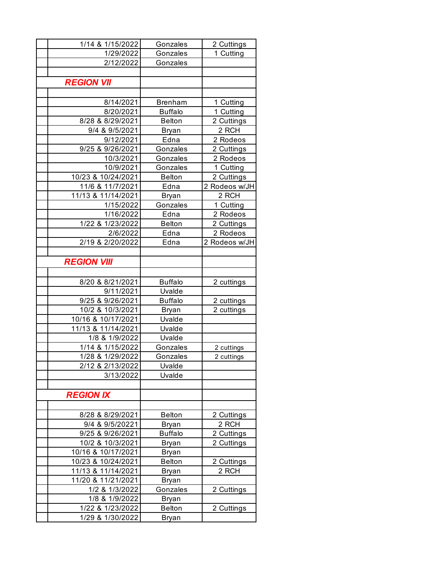| 1/14 & 1/15/2022                         | Gonzales         | 2 Cuttings    |
|------------------------------------------|------------------|---------------|
| 1/29/2022                                | Gonzales         | 1 Cutting     |
| 2/12/2022                                | Gonzales         |               |
|                                          |                  |               |
| <b>REGION VII</b>                        |                  |               |
|                                          |                  |               |
| 8/14/2021                                | <b>Brenham</b>   | 1 Cutting     |
| 8/20/2021                                | <b>Buffalo</b>   | 1 Cutting     |
| 8/28 & 8/29/2021                         | <b>Belton</b>    | 2 Cuttings    |
| 9/4 & 9/5/2021                           | Bryan            | 2 RCH         |
| 9/12/2021                                | Edna             | 2 Rodeos      |
| 9/25 & 9/26/2021                         | Gonzales         | 2 Cuttings    |
| 10/3/2021                                | Gonzales         | 2 Rodeos      |
| 10/9/2021                                | Gonzales         | 1 Cutting     |
| 10/23 & 10/24/2021                       | <b>Belton</b>    | 2 Cuttings    |
| 11/6 & 11/7/2021                         | Edna             | 2 Rodeos w/JH |
| 11/13 & 11/14/2021                       | Bryan            | 2 RCH         |
| 1/15/2022                                | Gonzales         | 1 Cutting     |
| 1/16/2022                                | Edna             | 2 Rodeos      |
| 1/22 & 1/23/2022                         | <b>Belton</b>    | 2 Cuttings    |
| 2/6/2022                                 | Edna             | 2 Rodeos      |
| 2/19 & 2/20/2022                         | Edna             | 2 Rodeos w/JH |
|                                          |                  |               |
| <b>REGION VIII</b>                       |                  |               |
|                                          |                  |               |
| 8/20 & 8/21/2021                         | <b>Buffalo</b>   | 2 cuttings    |
| 9/11/2021                                | Uvalde           |               |
| 9/25 & 9/26/2021                         | <b>Buffalo</b>   | 2 cuttings    |
| 10/2 & 10/3/2021                         | <b>Bryan</b>     | 2 cuttings    |
| 10/16 & 10/17/2021<br>11/13 & 11/14/2021 | Uvalde<br>Uvalde |               |
| 1/8 & 1/9/2022                           | Uvalde           |               |
| 1/14 & 1/15/2022                         | Gonzales         | 2 cuttings    |
| 1/28 & 1/29/2022                         | Gonzales         | 2 cuttings    |
| 2/12 & 2/13/2022                         | Uvalde           |               |
| 3/13/2022                                | Uvalde           |               |
|                                          |                  |               |
| <b>REGION IX</b>                         |                  |               |
|                                          |                  |               |
| 8/28 & 8/29/2021                         | <b>Belton</b>    | 2 Cuttings    |
| 9/4 & 9/5/20221                          | Bryan            | 2 RCH         |
| 9/25 & 9/26/2021                         | <b>Buffalo</b>   | 2 Cuttings    |
| 10/2 & 10/3/2021                         | <b>Bryan</b>     | 2 Cuttings    |
| 10/16 & 10/17/2021                       | <b>Bryan</b>     |               |
| 10/23 & 10/24/2021                       | <b>Belton</b>    | 2 Cuttings    |
| 11/13 & 11/14/2021                       | Bryan            | 2 RCH         |
| 11/20 & 11/21/2021                       | Bryan            |               |
| 1/2 & 1/3/2022                           | Gonzales         | 2 Cuttings    |
| 1/8 & 1/9/2022                           | Bryan            |               |
| 1/22 & 1/23/2022                         | <b>Belton</b>    | 2 Cuttings    |
| 1/29 & 1/30/2022                         | Bryan            |               |